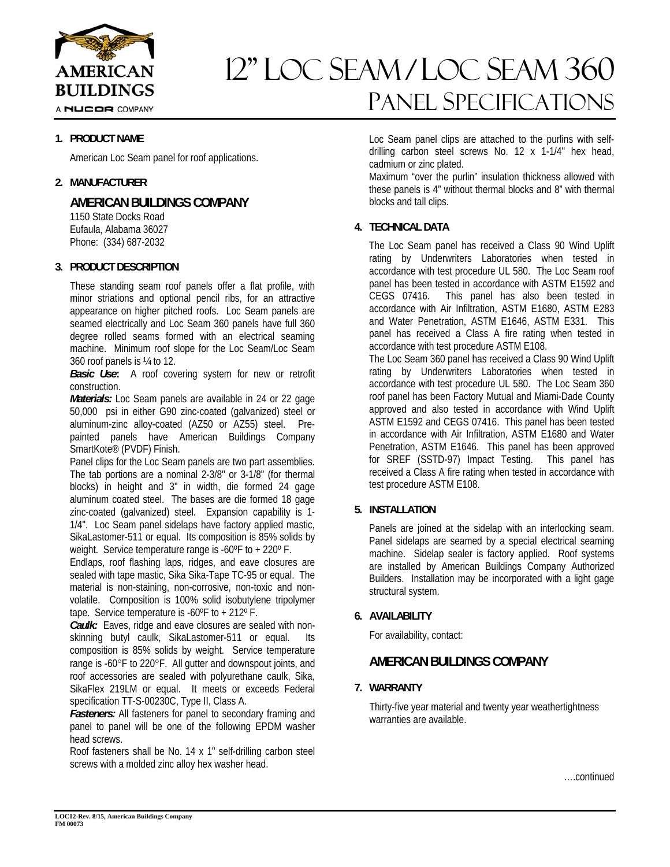

# 12" Loc seam / loc seam 360 Panel Specifications

## **1. PRODUCT NAME**

American Loc Seam panel for roof applications.

## **2. MANUFACTURER**

**AMERICAN BUILDINGS COMPANY** 

 1150 State Docks Road Eufaula, Alabama 36027 Phone: (334) 687-2032

## **3. PRODUCT DESCRIPTION**

These standing seam roof panels offer a flat profile, with minor striations and optional pencil ribs, for an attractive appearance on higher pitched roofs. Loc Seam panels are seamed electrically and Loc Seam 360 panels have full 360 degree rolled seams formed with an electrical seaming machine. Minimum roof slope for the Loc Seam/Loc Seam 360 roof panels is ¼ to 12.

*Basic Use***:** A roof covering system for new or retrofit construction.

*Materials:* Loc Seam panels are available in 24 or 22 gage 50,000 psi in either G90 zinc-coated (galvanized) steel or aluminum-zinc alloy-coated (AZ50 or AZ55) steel. Prepainted panels have American Buildings Company SmartKote® (PVDF) Finish.

Panel clips for the Loc Seam panels are two part assemblies. The tab portions are a nominal 2-3/8" or 3-1/8" (for thermal blocks) in height and 3" in width, die formed 24 gage aluminum coated steel. The bases are die formed 18 gage zinc-coated (galvanized) steel. Expansion capability is 1- 1/4". Loc Seam panel sidelaps have factory applied mastic, SikaLastomer-511 or equal. Its composition is 85% solids by weight. Service temperature range is -60ºF to + 220º F.

Endlaps, roof flashing laps, ridges, and eave closures are sealed with tape mastic, Sika Sika-Tape TC-95 or equal. The material is non-staining, non-corrosive, non-toxic and nonvolatile. Composition is 100% solid isobutylene tripolymer tape. Service temperature is -60ºF to + 212º F.

*Caulk:* Eaves, ridge and eave closures are sealed with nonskinning butyl caulk, SikaLastomer-511 or equal. Its composition is 85% solids by weight. Service temperature range is -60°F to 220°F. All gutter and downspout joints, and roof accessories are sealed with polyurethane caulk, Sika, SikaFlex 219LM or equal. It meets or exceeds Federal specification TT-S-00230C, Type II, Class A.

**Fasteners:** All fasteners for panel to secondary framing and panel to panel will be one of the following EPDM washer head screws.

Roof fasteners shall be No. 14 x 1" self-drilling carbon steel screws with a molded zinc alloy hex washer head.

Loc Seam panel clips are attached to the purlins with selfdrilling carbon steel screws No. 12 x 1-1/4" hex head, cadmium or zinc plated.

Maximum "over the purlin" insulation thickness allowed with these panels is 4" without thermal blocks and 8" with thermal blocks and tall clips.

## **4. TECHNICAL DATA**

The Loc Seam panel has received a Class 90 Wind Uplift rating by Underwriters Laboratories when tested in accordance with test procedure UL 580. The Loc Seam roof panel has been tested in accordance with ASTM E1592 and CEGS 07416. This panel has also been tested in accordance with Air Infiltration, ASTM E1680, ASTM E283 and Water Penetration, ASTM E1646, ASTM E331. This panel has received a Class A fire rating when tested in accordance with test procedure ASTM E108.

The Loc Seam 360 panel has received a Class 90 Wind Uplift rating by Underwriters Laboratories when tested in accordance with test procedure UL 580. The Loc Seam 360 roof panel has been Factory Mutual and Miami-Dade County approved and also tested in accordance with Wind Uplift ASTM E1592 and CEGS 07416. This panel has been tested in accordance with Air Infiltration, ASTM E1680 and Water Penetration, ASTM E1646. This panel has been approved for SREF (SSTD-97) Impact Testing. This panel has received a Class A fire rating when tested in accordance with test procedure ASTM E108.

## **5. INSTALLATION**

Panels are joined at the sidelap with an interlocking seam. Panel sidelaps are seamed by a special electrical seaming machine. Sidelap sealer is factory applied. Roof systems are installed by American Buildings Company Authorized Builders. Installation may be incorporated with a light gage structural system.

## **6. AVAILABILITY**

For availability, contact:

## **AMERICAN BUILDINGS COMPANY**

## **7. WARRANTY**

Thirty-five year material and twenty year weathertightness warranties are available.

….continued